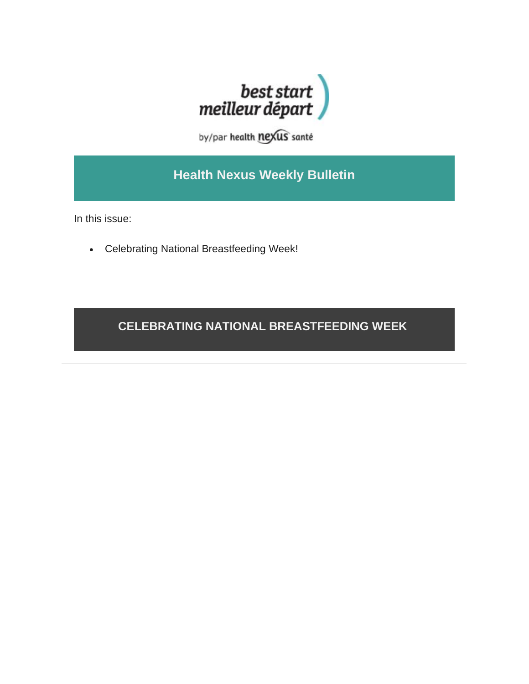

by/par health nexus santé

## **Health Nexus Weekly Bulletin**

In this issue:

• Celebrating National Breastfeeding Week!

**CELEBRATING NATIONAL BREASTFEEDING WEEK**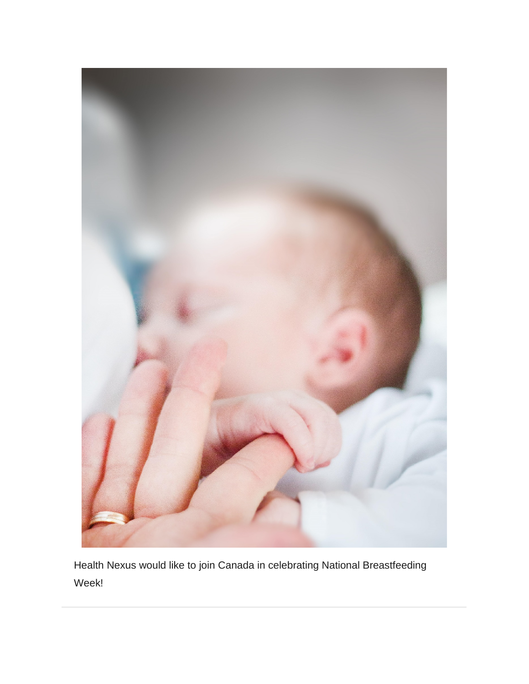

Health Nexus would like to join Canada in celebrating National Breastfeeding Week!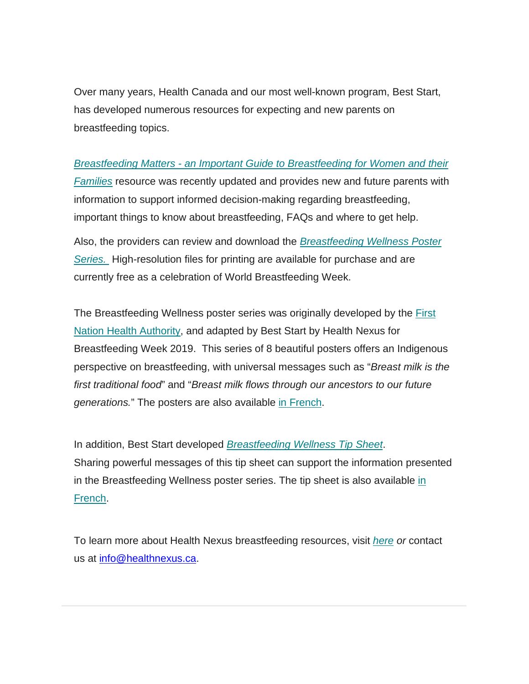Over many years, Health Canada and our most well-known program, Best Start, has developed numerous resources for expecting and new parents on breastfeeding topics.

## *Breastfeeding Matters - [an Important Guide to Breastfeeding for Women and their](https://resources.beststart.org/product/b04e-breastfeeding-matters-book/)*

*[Families](https://resources.beststart.org/product/b04e-breastfeeding-matters-book/)* resource was recently updated and provides new and future parents with information to support informed decision-making regarding breastfeeding, important things to know about breastfeeding, FAQs and where to get help.

Also, the providers can review and download the *[Breastfeeding Wellness Poster](https://resources.beststart.org/product/b50e-breastfeeding-wellness-posters/)  [Series.](https://resources.beststart.org/product/b50e-breastfeeding-wellness-posters/)* High-resolution files for printing are available for purchase and are currently free as a celebration of World Breastfeeding Week.

The Breastfeeding Wellness poster series was originally developed by the First [Nation Health Authority,](https://www.fnha.ca/WellnessSite/WellnessDocuments/FNHA-Breastfeeding-Wellness-Tips-For-Mothers.pdf) and adapted by Best Start by Health Nexus for Breastfeeding Week 2019. This series of 8 beautiful posters offers an Indigenous perspective on breastfeeding, with universal messages such as "*Breast milk is the first traditional food*" and "*Breast milk flows through our ancestors to our future generations.*" The posters are also available [in French.](https://resources.beststart.org/product/b50f-allaitement-et-bien-etre-affiches-en)

In addition, Best Start developed *[Breastfeeding Wellness Tip Sheet](https://resources.beststart.org/product/b49e-breastfeeding-wellness-tipsheet/)*. Sharing powerful messages of this tip sheet can support the information presented in the Breastfeeding Wellness poster series. The tip sheet is also available [in](https://resources.beststart.org/product/b49f-allaitement-et-bien-etre-fiche-conseil-en)  [French.](https://resources.beststart.org/product/b49f-allaitement-et-bien-etre-fiche-conseil-en)

To learn more about Health Nexus breastfeeding resources, visit *[here](https://resources.beststart.org/product-category/resources/breastfeeding/) or* contact us at [info@healthnexus.ca.](mailto:info@healthnexus.ca)